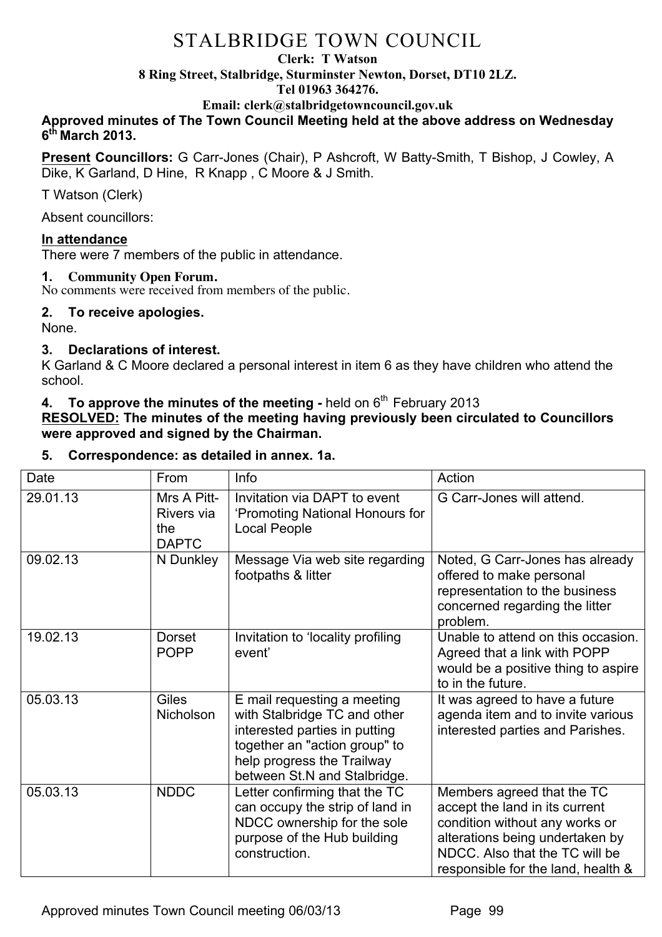#### **Clerk: T Watson**

**8 Ring Street, Stalbridge, Sturminster Newton, Dorset, DT10 2LZ.**

#### **Tel 01963 364276.**

**Email: clerk@stalbridgetowncouncil.gov.uk**

# **Approved minutes of The Town Council Meeting held at the above address on Wednesday 6th March 2013.**

**Present Councillors:** G Carr-Jones (Chair), P Ashcroft, W Batty-Smith, T Bishop, J Cowley, A Dike, K Garland, D Hine, R Knapp , C Moore & J Smith.

T Watson (Clerk)

Absent councillors:

# **In attendance**

There were 7 members of the public in attendance.

# **1. Community Open Forum.**

No comments were received from members of the public.

# **2. To receive apologies.**

None.

# **3. Declarations of interest.**

K Garland & C Moore declared a personal interest in item 6 as they have children who attend the school.

# **4. To approve the minutes of the meeting** - held on 6<sup>th</sup> February 2013

**RESOLVED: The minutes of the meeting having previously been circulated to Councillors were approved and signed by the Chairman.**

# **5. Correspondence: as detailed in annex. 1a.**

| Date     | From                                             | Info                                                                                                                                                                                        | Action                                                                                                                                                                                                    |
|----------|--------------------------------------------------|---------------------------------------------------------------------------------------------------------------------------------------------------------------------------------------------|-----------------------------------------------------------------------------------------------------------------------------------------------------------------------------------------------------------|
| 29.01.13 | Mrs A Pitt-<br>Rivers via<br>the<br><b>DAPTC</b> | Invitation via DAPT to event<br>'Promoting National Honours for<br><b>Local People</b>                                                                                                      | G Carr-Jones will attend.                                                                                                                                                                                 |
| 09.02.13 | N Dunkley                                        | Message Via web site regarding<br>footpaths & litter                                                                                                                                        | Noted, G Carr-Jones has already<br>offered to make personal<br>representation to the business<br>concerned regarding the litter<br>problem.                                                               |
| 19.02.13 | <b>Dorset</b><br><b>POPP</b>                     | Invitation to 'locality profiling<br>event'                                                                                                                                                 | Unable to attend on this occasion.<br>Agreed that a link with POPP<br>would be a positive thing to aspire<br>to in the future.                                                                            |
| 05.03.13 | <b>Giles</b><br>Nicholson                        | E mail requesting a meeting<br>with Stalbridge TC and other<br>interested parties in putting<br>together an "action group" to<br>help progress the Trailway<br>between St.N and Stalbridge. | It was agreed to have a future<br>agenda item and to invite various<br>interested parties and Parishes.                                                                                                   |
| 05.03.13 | <b>NDDC</b>                                      | Letter confirming that the TC<br>can occupy the strip of land in<br>NDCC ownership for the sole<br>purpose of the Hub building<br>construction.                                             | Members agreed that the TC<br>accept the land in its current<br>condition without any works or<br>alterations being undertaken by<br>NDCC. Also that the TC will be<br>responsible for the land, health & |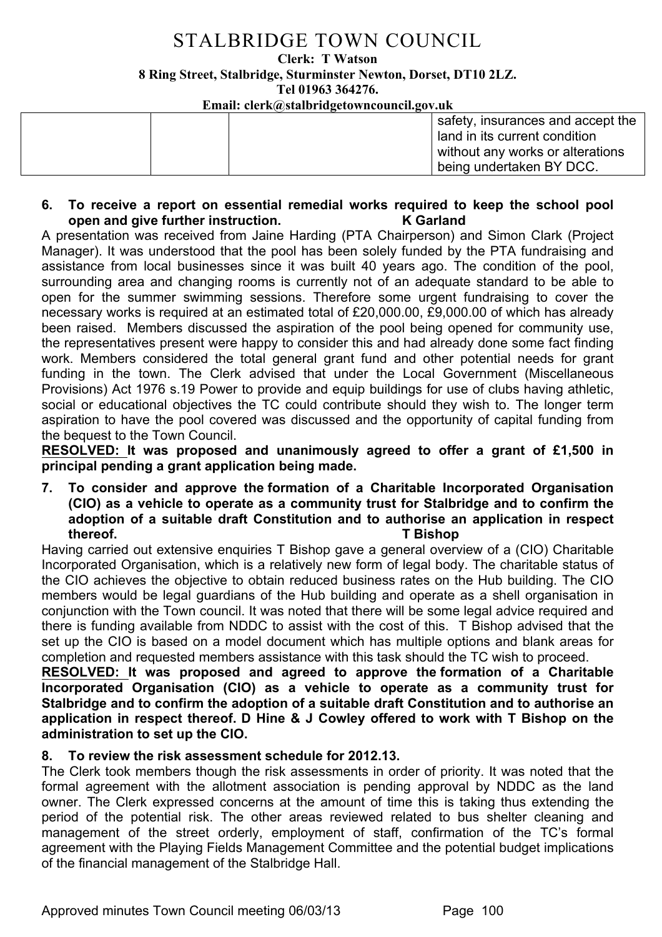**Clerk: T Watson** 

**8 Ring Street, Stalbridge, Sturminster Newton, Dorset, DT10 2LZ.**

**Tel 01963 364276.** 

**Email: clerk@stalbridgetowncouncil.gov.uk**

|  | safety, insurances and accept the |
|--|-----------------------------------|
|  | I land in its current condition   |
|  | without any works or alterations  |
|  | being undertaken BY DCC.          |
|  |                                   |

## **6. To receive a report on essential remedial works required to keep the school pool open and give further instruction. K Garland**

A presentation was received from Jaine Harding (PTA Chairperson) and Simon Clark (Project Manager). It was understood that the pool has been solely funded by the PTA fundraising and assistance from local businesses since it was built 40 years ago. The condition of the pool, surrounding area and changing rooms is currently not of an adequate standard to be able to open for the summer swimming sessions. Therefore some urgent fundraising to cover the necessary works is required at an estimated total of £20,000.00, £9,000.00 of which has already been raised. Members discussed the aspiration of the pool being opened for community use, the representatives present were happy to consider this and had already done some fact finding work. Members considered the total general grant fund and other potential needs for grant funding in the town. The Clerk advised that under the Local Government (Miscellaneous Provisions) Act 1976 s.19 Power to provide and equip buildings for use of clubs having athletic, social or educational objectives the TC could contribute should they wish to. The longer term aspiration to have the pool covered was discussed and the opportunity of capital funding from the bequest to the Town Council.

**RESOLVED: It was proposed and unanimously agreed to offer a grant of £1,500 in principal pending a grant application being made.** 

## **7. To consider and approve the formation of a Charitable Incorporated Organisation (CIO) as a vehicle to operate as a community trust for Stalbridge and to confirm the adoption of a suitable draft Constitution and to authorise an application in respect thereof. T Bishop**

Having carried out extensive enquiries T Bishop gave a general overview of a (CIO) Charitable Incorporated Organisation, which is a relatively new form of legal body. The charitable status of the CIO achieves the objective to obtain reduced business rates on the Hub building. The CIO members would be legal guardians of the Hub building and operate as a shell organisation in conjunction with the Town council. It was noted that there will be some legal advice required and there is funding available from NDDC to assist with the cost of this. T Bishop advised that the set up the CIO is based on a model document which has multiple options and blank areas for completion and requested members assistance with this task should the TC wish to proceed.

**RESOLVED: It was proposed and agreed to approve the formation of a Charitable Incorporated Organisation (CIO) as a vehicle to operate as a community trust for Stalbridge and to confirm the adoption of a suitable draft Constitution and to authorise an application in respect thereof. D Hine & J Cowley offered to work with T Bishop on the administration to set up the CIO.**

# **8. To review the risk assessment schedule for 2012.13.**

The Clerk took members though the risk assessments in order of priority. It was noted that the formal agreement with the allotment association is pending approval by NDDC as the land owner. The Clerk expressed concerns at the amount of time this is taking thus extending the period of the potential risk. The other areas reviewed related to bus shelter cleaning and management of the street orderly, employment of staff, confirmation of the TC's formal agreement with the Playing Fields Management Committee and the potential budget implications of the financial management of the Stalbridge Hall.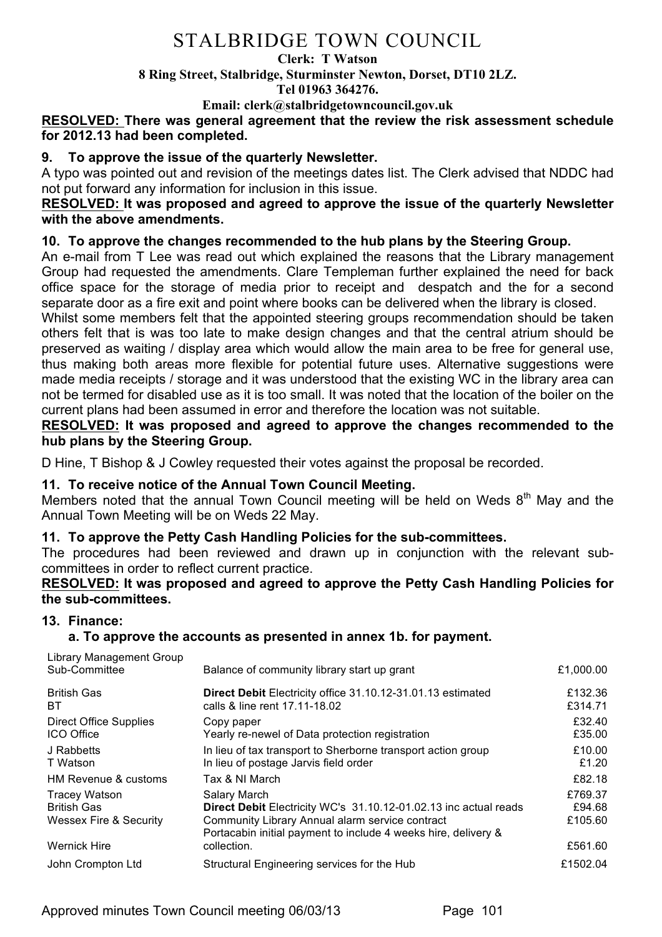#### **Clerk: T Watson**

**8 Ring Street, Stalbridge, Sturminster Newton, Dorset, DT10 2LZ.**

**Tel 01963 364276.** 

**Email: clerk@stalbridgetowncouncil.gov.uk**

## **RESOLVED: There was general agreement that the review the risk assessment schedule for 2012.13 had been completed.**

## **9. To approve the issue of the quarterly Newsletter.**

A typo was pointed out and revision of the meetings dates list. The Clerk advised that NDDC had not put forward any information for inclusion in this issue.

## **RESOLVED: It was proposed and agreed to approve the issue of the quarterly Newsletter with the above amendments.**

# **10. To approve the changes recommended to the hub plans by the Steering Group.**

An e-mail from T Lee was read out which explained the reasons that the Library management Group had requested the amendments. Clare Templeman further explained the need for back office space for the storage of media prior to receipt and despatch and the for a second separate door as a fire exit and point where books can be delivered when the library is closed.

Whilst some members felt that the appointed steering groups recommendation should be taken others felt that is was too late to make design changes and that the central atrium should be preserved as waiting / display area which would allow the main area to be free for general use, thus making both areas more flexible for potential future uses. Alternative suggestions were made media receipts / storage and it was understood that the existing WC in the library area can not be termed for disabled use as it is too small. It was noted that the location of the boiler on the current plans had been assumed in error and therefore the location was not suitable.

**RESOLVED: It was proposed and agreed to approve the changes recommended to the hub plans by the Steering Group.**

D Hine, T Bishop & J Cowley requested their votes against the proposal be recorded.

## **11. To receive notice of the Annual Town Council Meeting.**

Members noted that the annual Town Council meeting will be held on Weds  $8<sup>th</sup>$  May and the Annual Town Meeting will be on Weds 22 May.

## **11. To approve the Petty Cash Handling Policies for the sub-committees.**

The procedures had been reviewed and drawn up in conjunction with the relevant subcommittees in order to reflect current practice.

## **RESOLVED: It was proposed and agreed to approve the Petty Cash Handling Policies for the sub-committees.**

## **13. Finance:**

## **a. To approve the accounts as presented in annex 1b. for payment.**

| Library Management Group<br>Sub-Committee                                                   | Balance of community library start up grant                                                                                                                                                                          | £1,000.00                               |
|---------------------------------------------------------------------------------------------|----------------------------------------------------------------------------------------------------------------------------------------------------------------------------------------------------------------------|-----------------------------------------|
| <b>British Gas</b><br>BT                                                                    | Direct Debit Electricity office 31.10.12-31.01.13 estimated<br>calls & line rent 17.11-18.02                                                                                                                         | £132.36<br>£314.71                      |
| Direct Office Supplies<br><b>ICO</b> Office                                                 | Copy paper<br>Yearly re-newel of Data protection registration                                                                                                                                                        | £32.40<br>£35.00                        |
| J Rabbetts<br>T Watson                                                                      | In lieu of tax transport to Sherborne transport action group<br>In lieu of postage Jarvis field order                                                                                                                | £10.00<br>£1.20                         |
| HM Revenue & customs                                                                        | Tax & NI March                                                                                                                                                                                                       | £82.18                                  |
| <b>Tracey Watson</b><br><b>British Gas</b><br>Wessex Fire & Security<br><b>Wernick Hire</b> | Salary March<br>Direct Debit Electricity WC's 31.10.12-01.02.13 inc actual reads<br>Community Library Annual alarm service contract<br>Portacabin initial payment to include 4 weeks hire, delivery &<br>collection. | £769.37<br>£94.68<br>£105.60<br>£561.60 |
|                                                                                             |                                                                                                                                                                                                                      |                                         |
| John Crompton Ltd                                                                           | Structural Engineering services for the Hub                                                                                                                                                                          | £1502.04                                |

Approved minutes Town Council meeting 06/03/13 Page 101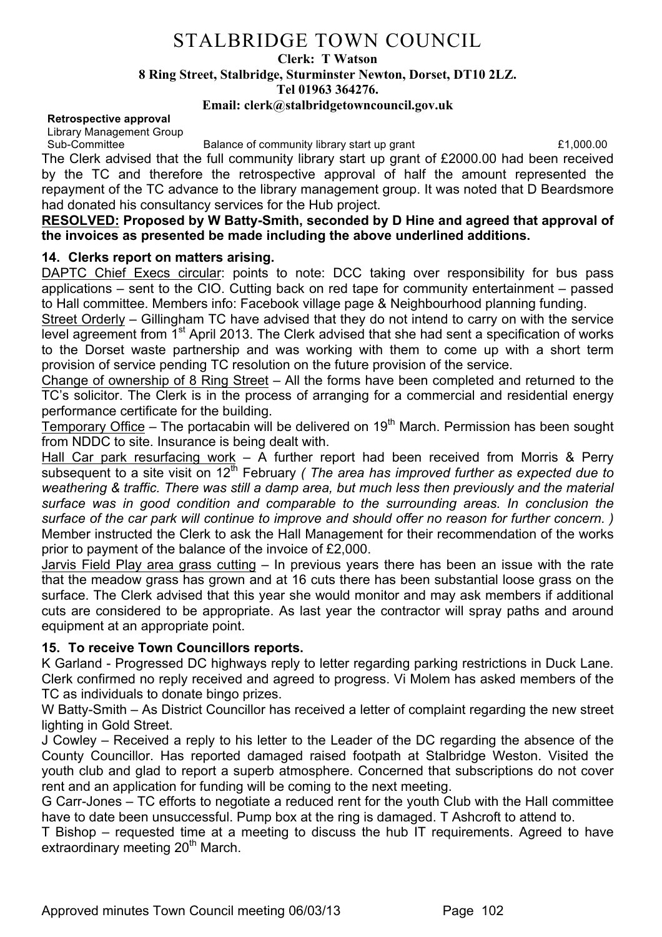#### **Clerk: T Watson**

**8 Ring Street, Stalbridge, Sturminster Newton, Dorset, DT10 2LZ.**

**Tel 01963 364276.** 

#### **Email: clerk@stalbridgetowncouncil.gov.uk**

#### **Retrospective approval**

Library Management Group

Sub-Committee Balance of community library start up grant E1,000.00

The Clerk advised that the full community library start up grant of £2000.00 had been received by the TC and therefore the retrospective approval of half the amount represented the repayment of the TC advance to the library management group. It was noted that D Beardsmore had donated his consultancy services for the Hub project.

#### **RESOLVED: Proposed by W Batty-Smith, seconded by D Hine and agreed that approval of the invoices as presented be made including the above underlined additions.**

# **14. Clerks report on matters arising.**

DAPTC Chief Execs circular: points to note: DCC taking over responsibility for bus pass applications – sent to the CIO. Cutting back on red tape for community entertainment – passed to Hall committee. Members info: Facebook village page & Neighbourhood planning funding.

Street Orderly – Gillingham TC have advised that they do not intend to carry on with the service level agreement from 1<sup>st</sup> April 2013. The Clerk advised that she had sent a specification of works to the Dorset waste partnership and was working with them to come up with a short term provision of service pending TC resolution on the future provision of the service.

Change of ownership of 8 Ring Street – All the forms have been completed and returned to the TC's solicitor. The Clerk is in the process of arranging for a commercial and residential energy performance certificate for the building.

Temporary Office – The portacabin will be delivered on  $19<sup>th</sup>$  March. Permission has been sought from NDDC to site. Insurance is being dealt with.

Hall Car park resurfacing work  $-$  A further report had been received from Morris & Perry subsequent to a site visit on 12<sup>th</sup> February *(The area has improved further as expected due to weathering & traffic. There was still a damp area, but much less then previously and the material surface was in good condition and comparable to the surrounding areas. In conclusion the surface of the car park will continue to improve and should offer no reason for further concern. )* Member instructed the Clerk to ask the Hall Management for their recommendation of the works prior to payment of the balance of the invoice of £2,000.

Jarvis Field Play area grass cutting – In previous years there has been an issue with the rate that the meadow grass has grown and at 16 cuts there has been substantial loose grass on the surface. The Clerk advised that this year she would monitor and may ask members if additional cuts are considered to be appropriate. As last year the contractor will spray paths and around equipment at an appropriate point.

## **15. To receive Town Councillors reports.**

K Garland - Progressed DC highways reply to letter regarding parking restrictions in Duck Lane. Clerk confirmed no reply received and agreed to progress. Vi Molem has asked members of the TC as individuals to donate bingo prizes.

W Batty-Smith – As District Councillor has received a letter of complaint regarding the new street lighting in Gold Street.

J Cowley – Received a reply to his letter to the Leader of the DC regarding the absence of the County Councillor. Has reported damaged raised footpath at Stalbridge Weston. Visited the youth club and glad to report a superb atmosphere. Concerned that subscriptions do not cover rent and an application for funding will be coming to the next meeting.

G Carr-Jones – TC efforts to negotiate a reduced rent for the youth Club with the Hall committee have to date been unsuccessful. Pump box at the ring is damaged. T Ashcroft to attend to.

T Bishop – requested time at a meeting to discuss the hub IT requirements. Agreed to have extraordinary meeting 20<sup>th</sup> March.